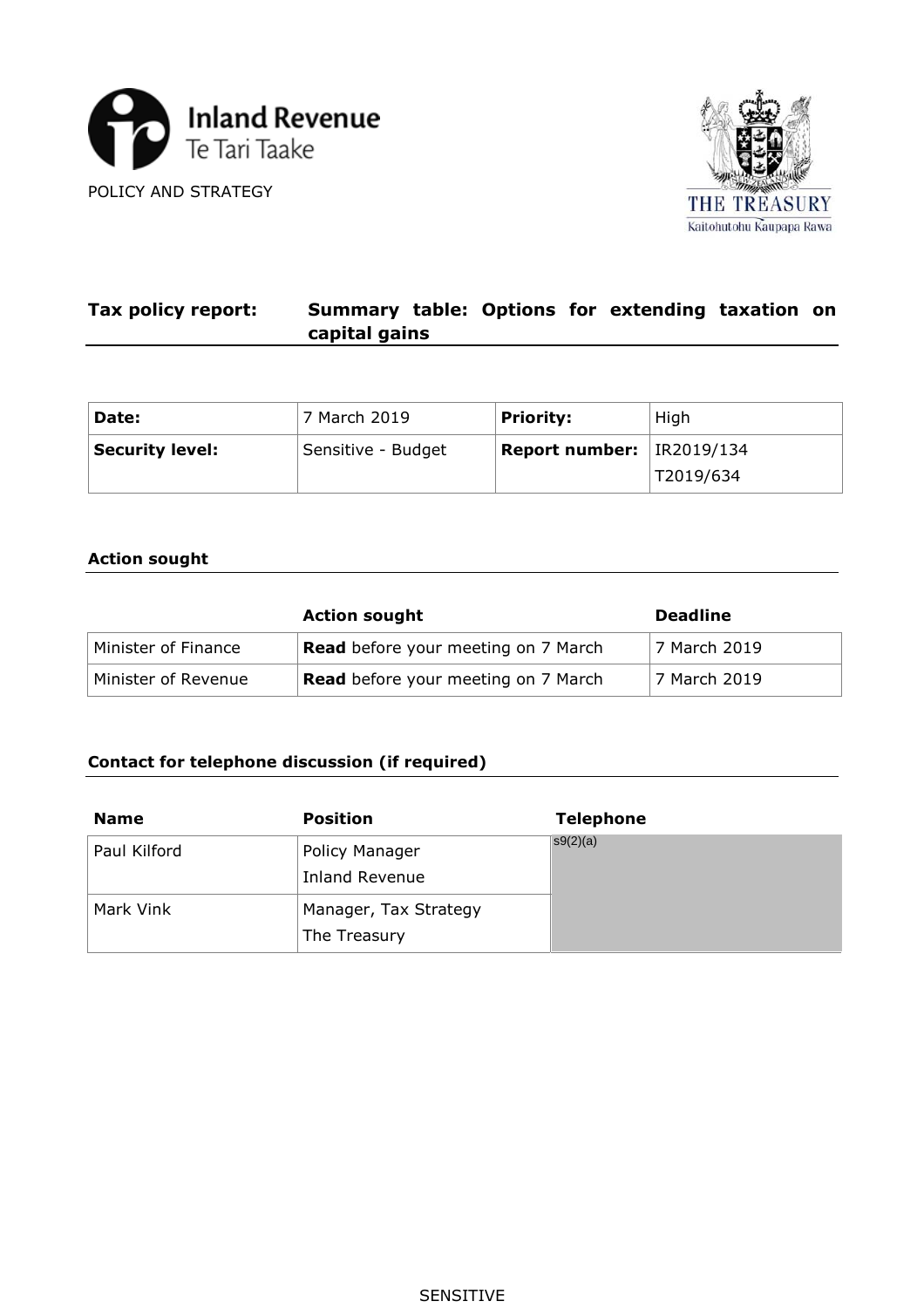



#### **Tax policy report: Summary table: Options for extending taxation on capital gains**

| Date:           | 7 March 2019       | <b>Priority:</b>              | High      |
|-----------------|--------------------|-------------------------------|-----------|
| Security level: | Sensitive - Budget | Report number: $ $ IR2019/134 |           |
|                 |                    |                               | T2019/634 |

#### **Action sought**

|                     | <b>Action sought</b>                       | <b>Deadline</b> |  |
|---------------------|--------------------------------------------|-----------------|--|
| Minister of Finance | <b>Read</b> before your meeting on 7 March | 7 March 2019    |  |
| Minister of Revenue | <b>Read</b> before your meeting on 7 March | 7 March 2019    |  |

### **Contact for telephone discussion (if required)**

| <b>Name</b>  | <b>Position</b>                       | <b>Telephone</b> |
|--------------|---------------------------------------|------------------|
| Paul Kilford | Policy Manager<br>Inland Revenue      | s9(2)(a)         |
| Mark Vink    | Manager, Tax Strategy<br>The Treasury |                  |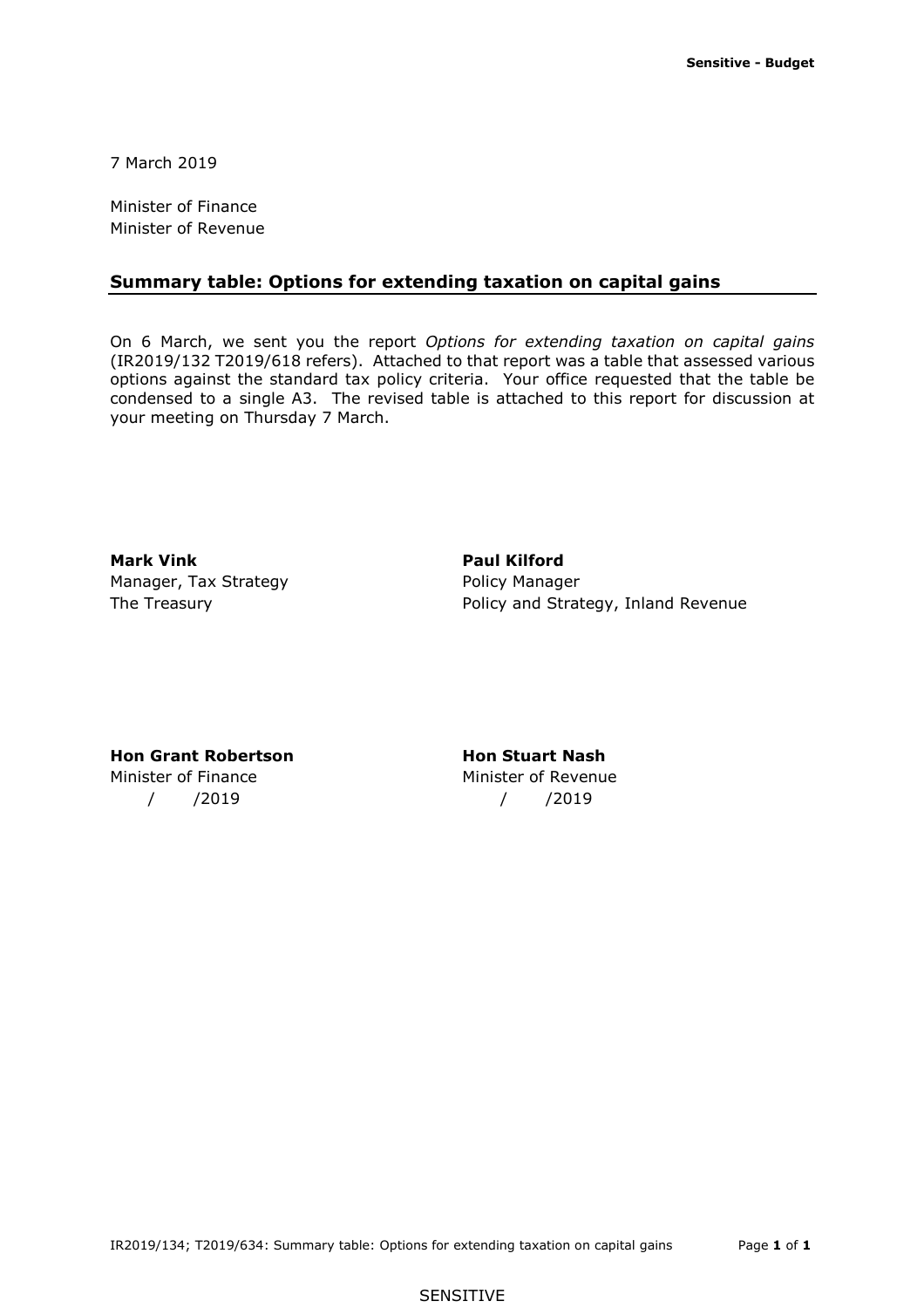7 March 2019

Minister of Finance Minister of Revenue

#### **Summary table: Options for extending taxation on capital gains**

 On 6 March, we sent you the report *Options for extending taxation on capital gains*  options against the standard tax policy criteria. Your office requested that the table be condensed to a single A3. The revised table is attached to this report for discussion at your meeting on Thursday 7 March. (IR2019/132 T2019/618 refers). Attached to that report was a table that assessed various

**Mark Vink Communist Communist Paul Kilford** Manager, Tax Strategy **Policy Manager** 

The Treasury **Policy and Strategy, Inland Revenue** 

#### **Hon Grant Robertson Hon Stuart Nash**

# Minister of Finance **Minister of Revenue** / /2019 / /2019

#### SENSITIVE